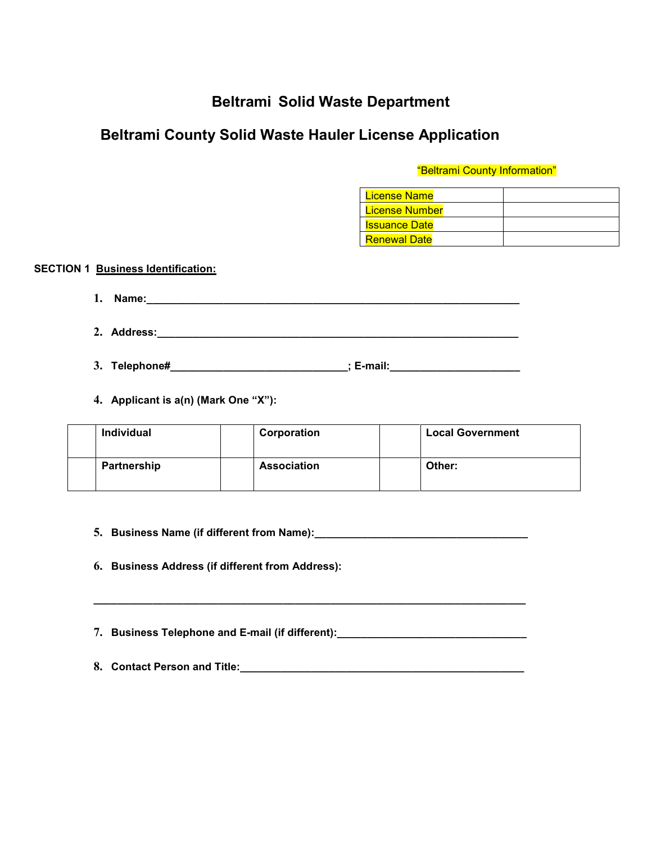# **Beltrami Solid Waste Department**

# **Beltrami County Solid Waste Hauler License Application**

# "Beltrami County Information"

| License Name         |  |
|----------------------|--|
| License Number       |  |
| <u>Issuance Date</u> |  |
| <b>Renewal Date</b>  |  |

**SECTION 1 Business Identification:**

| $\mathbf{1}$ | Name:<br>. |  |
|--------------|------------|--|
|              |            |  |

- **2. Address:\_\_\_\_\_\_\_\_\_\_\_\_\_\_\_\_\_\_\_\_\_\_\_\_\_\_\_\_\_\_\_\_\_\_\_\_\_\_\_\_\_\_\_\_\_\_\_\_\_\_\_\_\_\_\_\_\_\_\_\_\_**
- **3. Telephone#\_\_\_\_\_\_\_\_\_\_\_\_\_\_\_\_\_\_\_\_\_\_\_\_\_\_\_\_\_\_; E-mail:\_\_\_\_\_\_\_\_\_\_\_\_\_\_\_\_\_\_\_\_\_\_**
- **4. Applicant is a(n) (Mark One "X"):**

| Individual  | Corporation        | <b>Local Government</b> |
|-------------|--------------------|-------------------------|
| Partnership | <b>Association</b> | Other:                  |

**5. Business Name (if different from Name):\_\_\_\_\_\_\_\_\_\_\_\_\_\_\_\_\_\_\_\_\_\_\_\_\_\_\_\_\_\_\_\_\_\_\_\_**

**6. Business Address (if different from Address):**

**7. Business Telephone and E-mail (if different):\_\_\_\_\_\_\_\_\_\_\_\_\_\_\_\_\_\_\_\_\_\_\_\_\_\_\_\_\_\_\_\_**

**\_\_\_\_\_\_\_\_\_\_\_\_\_\_\_\_\_\_\_\_\_\_\_\_\_\_\_\_\_\_\_\_\_\_\_\_\_\_\_\_\_\_\_\_\_\_\_\_\_\_\_\_\_\_\_\_\_\_\_\_\_\_\_\_\_\_\_\_\_\_\_\_\_**

**8. Contact Person and Title:\_\_\_\_\_\_\_\_\_\_\_\_\_\_\_\_\_\_\_\_\_\_\_\_\_\_\_\_\_\_\_\_\_\_\_\_\_\_\_\_\_\_\_\_\_\_\_\_**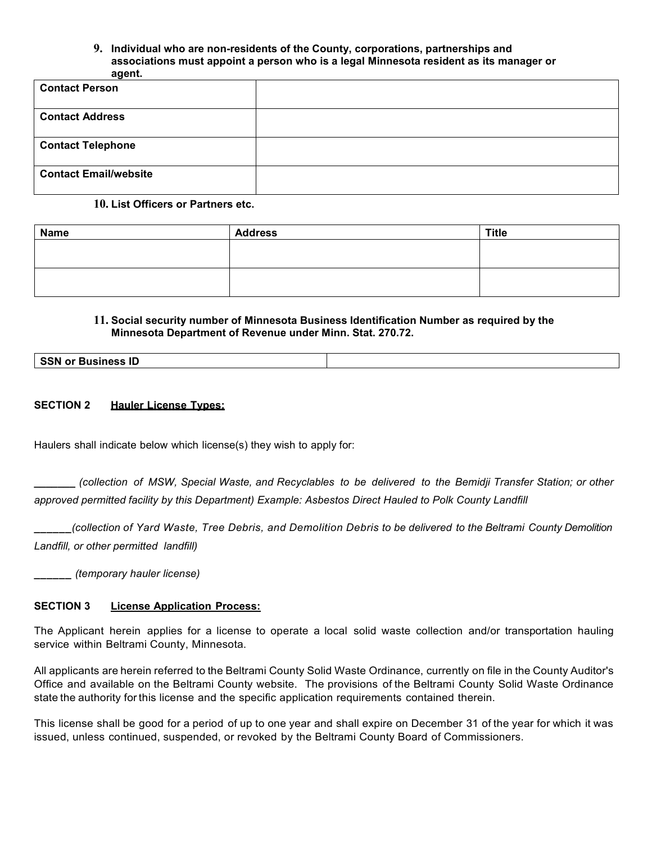#### **9. Individual who are non-residents of the County, corporations, partnerships and associations must appoint a person who is a legal Minnesota resident as its manager or agent.**

| -------                      |  |
|------------------------------|--|
| <b>Contact Person</b>        |  |
| <b>Contact Address</b>       |  |
| <b>Contact Telephone</b>     |  |
| <b>Contact Email/website</b> |  |

#### **10. List Officers or Partners etc.**

| <b>Name</b> | <b>Address</b> | <b>Title</b> |
|-------------|----------------|--------------|
|             |                |              |
|             |                |              |
|             |                |              |
|             |                |              |

### **11. Social security number of Minnesota Business Identification Number as required by the Minnesota Department of Revenue under Minn. Stat. 270.72.**

#### **SECTION 2 Hauler License Types:**

Haulers shall indicate below which license(s) they wish to apply for:

**\_\_\_\_\_\_\_** *(collection of MSW, Special Waste, and Recyclables to be delivered to the Bemidji Transfer Station; or other approved permitted facility by this Department) Example: Asbestos Direct Hauled to Polk County Landfill*

**\_\_\_\_\_\_***(collection of Yard Waste, Tree Debris, and Demolition Debris to be delivered to the Beltrami County Demolition Landfill, or other permitted landfill)*

**\_\_\_\_\_\_** *(temporary hauler license)*

#### **SECTION 3 License Application Process:**

The Applicant herein applies for a license to operate a local solid waste collection and/or transportation hauling service within Beltrami County, Minnesota.

All applicants are herein referred to the Beltrami County Solid Waste Ordinance, currently on file in the County Auditor's Office and available on the Beltrami County website. The provisions of the Beltrami County Solid Waste Ordinance state the authority for this license and the specific application requirements contained therein.

This license shall be good for a period of up to one year and shall expire on December 31 of the year for which it was issued, unless continued, suspended, or revoked by the Beltrami County Board of Commissioners.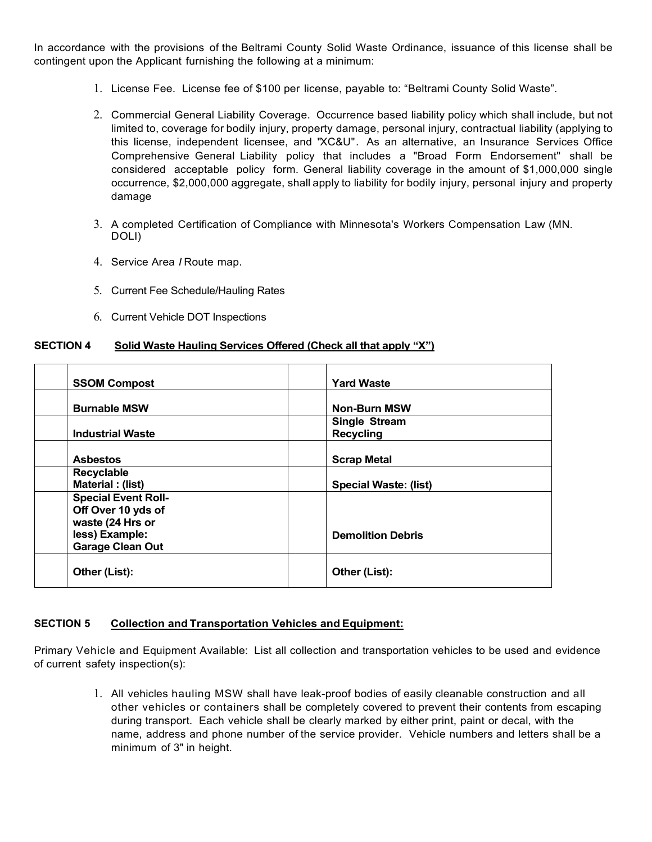In accordance with the provisions of the Beltrami County Solid Waste Ordinance, issuance of this license shall be contingent upon the Applicant furnishing the following at a minimum:

- 1. License Fee. License fee of \$100 per license, payable to: "Beltrami County Solid Waste".
- 2. Commercial General Liability Coverage. Occurrence based liability policy which shall include, but not limited to, coverage for bodily injury, property damage, personal injury, contractual liability (applying to this license, independent licensee, and "XC&U". As an alternative, an Insurance Services Office Comprehensive General Liability policy that includes a "Broad Form Endorsement" shall be considered acceptable policy form. General liability coverage in the amount of \$1,000,000 single occurrence, \$2,000,000 aggregate, shall apply to liability for bodily injury, personal injury and property damage
- 3. A completed Certification of Compliance with Minnesota's Workers Compensation Law (MN. DOLI)
- 4. Service Area *I* Route map.
- 5. Current Fee Schedule/Hauling Rates
- 6. Current Vehicle DOT Inspections

#### **SECTION 4 Solid Waste Hauling Services Offered (Check all that apply "X")**

| <b>SSOM Compost</b>                                           | <b>Yard Waste</b>                 |
|---------------------------------------------------------------|-----------------------------------|
| <b>Burnable MSW</b>                                           | <b>Non-Burn MSW</b>               |
| <b>Industrial Waste</b>                                       | Single Stream<br><b>Recycling</b> |
| <b>Asbestos</b>                                               | <b>Scrap Metal</b>                |
| <b>Recyclable</b><br>Material: (list)                         | <b>Special Waste: (list)</b>      |
| <b>Special Event Roll-</b><br>Off Over 10 yds of              |                                   |
| waste (24 Hrs or<br>less) Example:<br><b>Garage Clean Out</b> | <b>Demolition Debris</b>          |
| Other (List):                                                 | Other (List):                     |

#### **SECTION 5 Collection and Transportation Vehicles and Equipment:**

Primary Vehicle and Equipment Available: List all collection and transportation vehicles to be used and evidence of current safety inspection(s):

> 1. All vehicles hauling MSW shall have leak-proof bodies of easily cleanable construction and all other vehicles or containers shall be completely covered to prevent their contents from escaping during transport. Each vehicle shall be clearly marked by either print, paint or decal, with the name, address and phone number of the service provider. Vehicle numbers and letters shall be a minimum of 3" in height.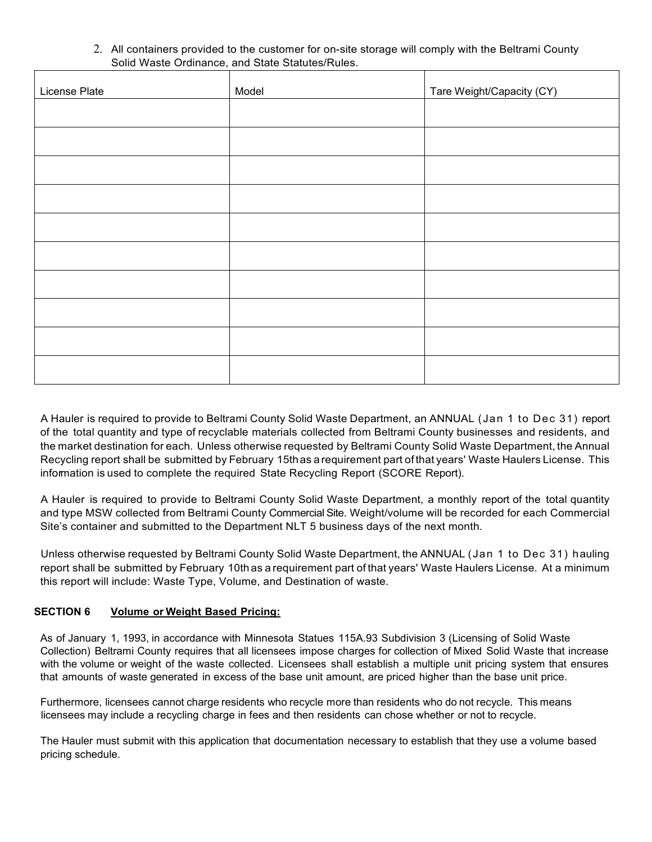2. All containers provided to the customer for on-site storage will comply with the Beltrami County Solid Waste Ordinance, and State Statutes/Rules.

| License Plate | Model | Tare Weight/Capacity (CY) |
|---------------|-------|---------------------------|
|               |       |                           |
|               |       |                           |
|               |       |                           |
|               |       |                           |
|               |       |                           |
|               |       |                           |
|               |       |                           |
|               |       |                           |
|               |       |                           |
|               |       |                           |

A Hauler is required to provide to Beltrami County Solid Waste Department, an ANNUAL (Jan 1 to Dec 31) report of the total quantity and type of recyclable materials collected from Beltrami County businesses and residents, and the market destination for each. Unless otherwise requested by Beltrami County Solid Waste Department, the Annual Recycling report shall be submitted by February 15thas arequirement part of that years' Waste Haulers License. This information is used to complete the required State Recycling Report (SCORE Report).

A Hauler is required to provide to Beltrami County Solid Waste Department, a monthly report of the total quantity and type MSW collected from Beltrami County Commercial Site. Weight/volume will be recorded for each Commercial Site's container and submitted to the Department NLT 5 business days of the next month.

Unless otherwise requested by Beltrami County Solid Waste Department, the ANNUAL (Jan 1 to Dec 31) hauling report shall be submitted by February 10thas a requirement part of that years' Waste Haulers License. At a minimum this report will include: Waste Type, Volume, and Destination of waste.

# **SECTION 6 Volume or Weight Based Pricing:**

As of January 1, 1993, in accordance with Minnesota Statues 115A.93 Subdivision 3 (Licensing of Solid Waste Collection) Beltrami County requires that all licensees impose charges for collection of Mixed Solid Waste that increase with the volume or weight of the waste collected. Licensees shall establish a multiple unit pricing system that ensures that amounts of waste generated in excess of the base unit amount, are priced higher than the base unit price.

Furthermore, licensees cannot charge residents who recycle more than residents who do not recycle. This means licensees may include a recycling charge in fees and then residents can chose whether or not to recycle.

The Hauler must submit with this application that documentation necessary to establish that they use a volume based pricing schedule.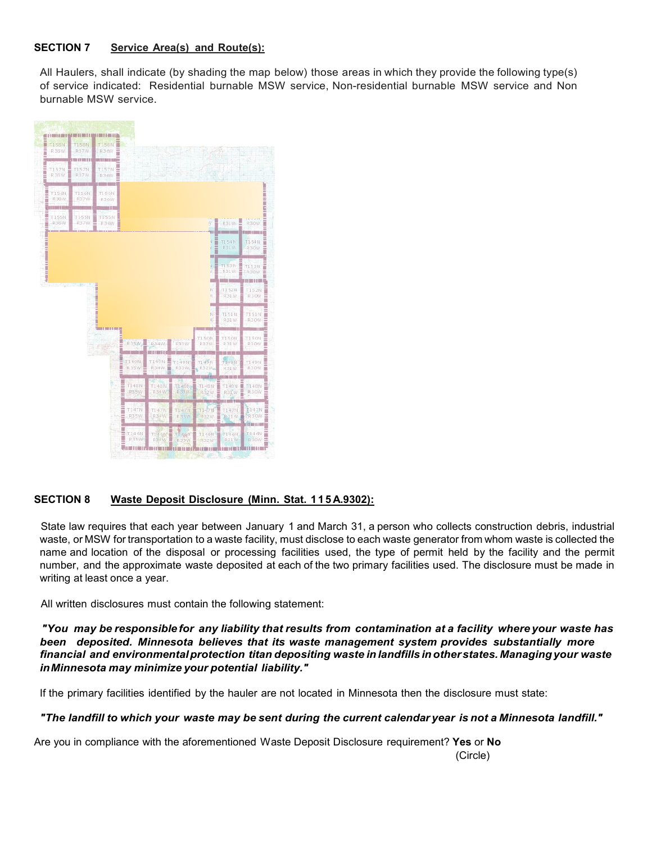# **SECTION 7 Service Area(s) and Route(s):**

All Haulers, shall indicate (by shading the map below) those areas in which they provide the following type(s) of service indicated: Residential burnable MSW service, Non-residential burnable MSW service and Non burnable MSW service.



# **SECTION 8 Waste Deposit Disclosure (Minn. Stat. 115 A.9302):**

State law requires that each year between January 1 and March 31, a person who collects construction debris, industrial waste, or MSW for transportation to a waste facility, must disclose to each waste generator from whom waste is collected the name and location of the disposal or processing facilities used, the type of permit held by the facility and the permit number, and the approximate waste deposited at each of the two primary facilities used. The disclosure must be made in writing at least once a year.

All written disclosures must contain the following statement:

*"You may be responsible for any liability that results from contamination at a facility where your waste has been deposited. Minnesota believes that its waste management system provides substantially more financial and environmentalprotection titan depositing waste in landfills inotherstates. Managingyour waste inMinnesota may minimize your potential liability."*

If the primary facilities identified by the hauler are not located in Minnesota then the disclosure must state:

# "The landfill to which your waste may be sent during the current calendar year is not a Minnesota landfill."

Are you in compliance with the aforementioned Waste Deposit Disclosure requirement? **Yes** or **No** (Circle)